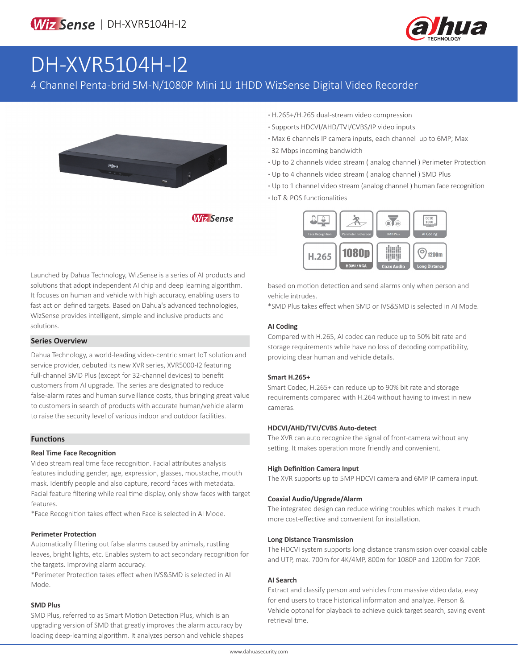

# DH-XVR5104H-I2

### 4 Channel Penta-brid 5M-N/1080P Mini 1U 1HDD WizSense Digital Video Recorder

**Wiz Sense** 



**·** H.265+/H.265 dual-stream video compression

- **·** Supports HDCVI/AHD/TVI/CVBS/IP video inputs
- **·** Max 6 channels IP camera inputs, each channel up to 6MP; Max 32 Mbps incoming bandwidth
- **·** Up to 2 channels video stream ( analog channel ) Perimeter Protection
- **·** Up to 4 channels video stream ( analog channel ) SMD Plus
- **·** Up to 1 channel video stream (analog channel ) human face recognition
- **·** IoT & POS functionalities



Launched by Dahua Technology, WizSense is a series of AI products and solutions that adopt independent AI chip and deep learning algorithm. It focuses on human and vehicle with high accuracy, enabling users to fast act on defined targets. Based on Dahua's advanced technologies, WizSense provides intelligent, simple and inclusive products and solutions.

#### **Series Overview**

Dahua Technology, a world-leading video-centric smart IoT solution and service provider, debuted its new XVR series, XVR5000-I2 featuring full-channel SMD Plus (except for 32-channel devices) to benefit customers from AI upgrade. The series are designated to reduce false-alarm rates and human surveillance costs, thus bringing great value to customers in search of products with accurate human/vehicle alarm to raise the security level of various indoor and outdoor facilities.

#### **Functions**

#### **Real Time Face Recognition**

Video stream real time face recognition. Facial attributes analysis features including gender, age, expression, glasses, moustache, mouth mask. Identify people and also capture, record faces with metadata. Facial feature filtering while real time display, only show faces with target features.

\*Face Recognition takes effect when Face is selected in AI Mode.

#### **Perimeter Protection**

Automatically filtering out false alarms caused by animals, rustling leaves, bright lights, etc. Enables system to act secondary recognition for the targets. Improving alarm accuracy.

\*Perimeter Protection takes effect when IVS&SMD is selected in AI Mode.

#### **SMD Plus**

SMD Plus, referred to as Smart Motion Detection Plus, which is an upgrading version of SMD that greatly improves the alarm accuracy by loading deep-learning algorithm. It analyzes person and vehicle shapes based on motion detection and send alarms only when person and vehicle intrudes.

\*SMD Plus takes effect when SMD or IVS&SMD is selected in AI Mode.

#### **AI Coding**

Compared with H.265, AI codec can reduce up to 50% bit rate and storage requirements while have no loss of decoding compatibility, providing clear human and vehicle details.

#### **Smart H.265+**

Smart Codec, H.265+ can reduce up to 90% bit rate and storage requirements compared with H.264 without having to invest in new cameras.

#### **HDCVI/AHD/TVI/CVBS Auto-detect**

The XVR can auto recognize the signal of front-camera without any setting. It makes operation more friendly and convenient.

#### **High Definition Camera Input**

The XVR supports up to 5MP HDCVI camera and 6MP IP camera input.

#### **Coaxial Audio/Upgrade/Alarm**

The integrated design can reduce wiring troubles which makes it much more cost-effective and convenient for installation.

#### **Long Distance Transmission**

The HDCVI system supports long distance transmission over coaxial cable and UTP, max. 700m for 4K/4MP, 800m for 1080P and 1200m for 720P.

#### **AI Search**

Extract and classify person and vehicles from massive video data, easy for end users to trace historical informaton and analyze. Person & Vehicle optonal for playback to achieve quick target search, saving event retrieval tme.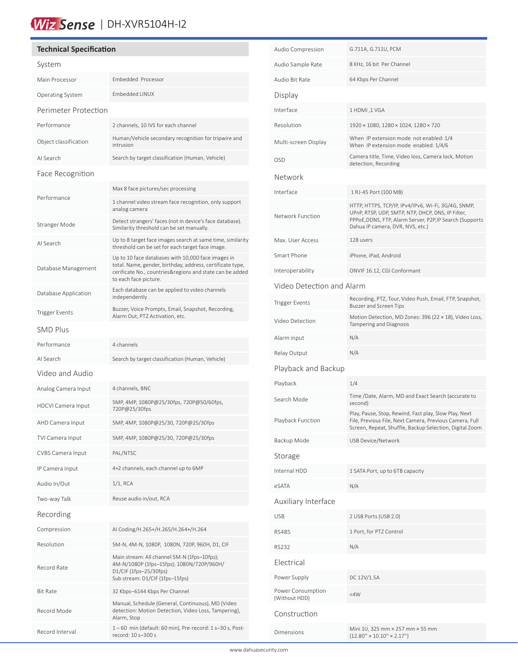## Wiz Sense | DH-XVR5104H-I2

#### **Technical Specification** System Main Processor Embedded Processor Operating System Embedded LINUX Perimeter Protection Performance 2 channels, 10 IVS for each channel Object classification Human/Vehicle secondary recognition for tripwire and intrusion AI Search Search by target classification (Human, Vehicle) Face Recognition Performance Max 8 face pictures/sec processing 1 channel video stream face recognition, only support analog camera Stranger Mode Detect strangers' faces (not in device's face database). Similarity threshold can be set manually. AI Search Up to 8 target face images search at same time, similarity threshold can be set for each target face image. Database Management Up to 10 face databases with 10,000 face images in total. Name, gender, birthday, address, certificate type, cerificate No., countries&regions and state can be added to each face picture. Database Application Each database can be applied to video channels independently . Trigger Events<br>Alam Out PT7 Astivative attracts. Recording, Alarm Out, PTZ Activation, etc. SMD Plus Performance 4 channels AI Search Search by target classification (Human, Vehicle) Video and Audio Analog Camera Input 4 channels, BNC HDCVI Camera Input 5MP, 4MP, 1080P@25/30fps, 720P@50/60fps, 720P@25/30fps AHD Camera Input 5MP, 4MP, 1080P@25/30, 720P@25/30fps TVI Camera Input 5MP, 4MP, 1080P@25/30, 720P@25/30fps CVBS Camera Input PAL/NTSC IP Camera Input 4+2 channels, each channel up to 6MP Audio In/Out 1/1, RCA Two-way Talk Reuse audio in/out, RCA Recording Compression AI Coding/H.265+/H.265/H.264+/H.264 Resolution 5M-N, 4M-N, 1080P, 1080N, 720P, 960H, D1, CIF Record Rate Main stream: All channel 5M-N (1fps–10fps); 4M-N/1080P (1fps–15fps); 1080N/720P/960H/ D1/CIF (1fps–25/30fps) Sub stream: D1/CIF (1fps–15fps) Bit Rate 32 Kbps–6144 Kbps Per Channel Record Mode Manual, Schedule (General, Continuous), MD (Video detection: Motion Detection, Video Loss, Tampering), Alarm, Stop Record Interval 1 – 60 min (default: 60 min), Pre-record: 1 s–30 s, Postrecord: 10 s–300 s

í

| Audio Compression                  | G.711A, G.711U, PCM                                                                                                                                                                                      |  |  |  |
|------------------------------------|----------------------------------------------------------------------------------------------------------------------------------------------------------------------------------------------------------|--|--|--|
| Audio Sample Rate                  | 8 KHz, 16 bit Per Channel                                                                                                                                                                                |  |  |  |
| Audio Bit Rate                     | 64 Kbps Per Channel                                                                                                                                                                                      |  |  |  |
| Display                            |                                                                                                                                                                                                          |  |  |  |
| Interface                          | 1 HDMI, 1 VGA                                                                                                                                                                                            |  |  |  |
| Resolution                         | 1920 × 1080, 1280 × 1024, 1280 × 720                                                                                                                                                                     |  |  |  |
| Multi-screen Display               | When IP extension mode not enabled: 1/4<br>When IP extension mode enabled: 1/4/6                                                                                                                         |  |  |  |
| OSD                                | Camera title, Time, Video loss, Camera lock, Motion<br>detection, Recording                                                                                                                              |  |  |  |
| Network                            |                                                                                                                                                                                                          |  |  |  |
| Interface                          | 1 RJ-45 Port (100 MB)                                                                                                                                                                                    |  |  |  |
| Network Function                   | HTTP, HTTPS, TCP/IP, IPv4/IPv6, Wi-Fi, 3G/4G, SNMP,<br>UPnP, RTSP, UDP, SMTP, NTP, DHCP, DNS, IP Filter,<br>PPPoE, DDNS, FTP, Alarm Server, P2P, IP Search (Supports<br>Dahua IP camera, DVR, NVS, etc.) |  |  |  |
| Max. User Access                   | 128 users                                                                                                                                                                                                |  |  |  |
| Smart Phone                        | iPhone, iPad, Android                                                                                                                                                                                    |  |  |  |
| Interoperability                   | ONVIF 16.12, CGI Conformant                                                                                                                                                                              |  |  |  |
| Video Detection and Alarm          |                                                                                                                                                                                                          |  |  |  |
| Trigger Events                     | Recording, PTZ, Tour, Video Push, Email, FTP, Snapshot,<br>Buzzer and Screen Tips                                                                                                                        |  |  |  |
| Video Detection                    | Motion Detection, MD Zones: 396 (22 × 18), Video Loss,<br>Tampering and Diagnosis                                                                                                                        |  |  |  |
| Alarm input                        | N/A                                                                                                                                                                                                      |  |  |  |
| Relay Output                       | N/A                                                                                                                                                                                                      |  |  |  |
| Playback and Backup                |                                                                                                                                                                                                          |  |  |  |
| Playback                           | 1/4                                                                                                                                                                                                      |  |  |  |
| Search Mode                        | Time /Date, Alarm, MD and Exact Search (accurate to<br>second)                                                                                                                                           |  |  |  |
| Playback Function                  | Play, Pause, Stop, Rewind, Fast play, Slow Play, Next<br>File, Previous File, Next Camera, Previous Camera, Full<br>Screen, Repeat, Shuffle, Backup Selection, Digital Zoom                              |  |  |  |
| Backup Mode                        | USB Device/Network                                                                                                                                                                                       |  |  |  |
| Storage                            |                                                                                                                                                                                                          |  |  |  |
| Internal HDD                       | 1 SATA Port, up to 6TB capacity                                                                                                                                                                          |  |  |  |
| eSATA                              | N/A                                                                                                                                                                                                      |  |  |  |
| Auxiliary Interface                |                                                                                                                                                                                                          |  |  |  |
| <b>USB</b>                         | 2 USB Ports (USB 2.0)                                                                                                                                                                                    |  |  |  |
| RS485                              | 1 Port, for PTZ Control                                                                                                                                                                                  |  |  |  |
| RS232                              | N/A                                                                                                                                                                                                      |  |  |  |
| Electrical                         |                                                                                                                                                                                                          |  |  |  |
| Power Supply                       | DC 12V/1.5A                                                                                                                                                                                              |  |  |  |
| Power Consumption<br>(Without HDD) | $<$ 4 W                                                                                                                                                                                                  |  |  |  |
| Construction                       |                                                                                                                                                                                                          |  |  |  |
| Dimensions                         | Mini 1U, 325 mm × 257 mm × 55 mm<br>$(12.80'' \times 10.10'' \times 2.17'')$                                                                                                                             |  |  |  |